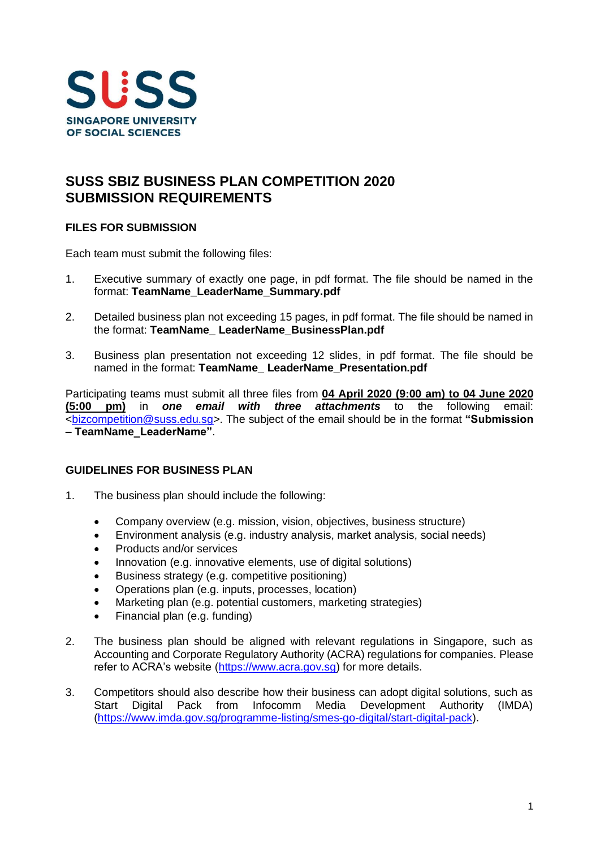

## **SUSS SBIZ BUSINESS PLAN COMPETITION 2020 SUBMISSION REQUIREMENTS**

## **FILES FOR SUBMISSION**

Each team must submit the following files:

- 1. Executive summary of exactly one page, in pdf format. The file should be named in the format: **TeamName\_LeaderName\_Summary.pdf**
- 2. Detailed business plan not exceeding 15 pages, in pdf format. The file should be named in the format: **TeamName\_ LeaderName\_BusinessPlan.pdf**
- 3. Business plan presentation not exceeding 12 slides, in pdf format. The file should be named in the format: **TeamName\_ LeaderName\_Presentation.pdf**

Participating teams must submit all three files from **04 April 2020 (9:00 am) to 04 June 2020 (5:00 pm)** in *one email with three attachments* to the following email: [<bizcompetition@suss.edu.sg>](mailto:bizcompetition@suss.edu.sg). The subject of the email should be in the format **"Submission – TeamName\_LeaderName"**.

## **GUIDELINES FOR BUSINESS PLAN**

- 1. The business plan should include the following:
	- Company overview (e.g. mission, vision, objectives, business structure)
	- Environment analysis (e.g. industry analysis, market analysis, social needs)
	- Products and/or services
	- Innovation (e.g. innovative elements, use of digital solutions)
	- Business strategy (e.g. competitive positioning)
	- Operations plan (e.g. inputs, processes, location)
	- Marketing plan (e.g. potential customers, marketing strategies)
	- Financial plan (e.g. funding)
- 2. The business plan should be aligned with relevant regulations in Singapore, such as Accounting and Corporate Regulatory Authority (ACRA) regulations for companies. Please refer to ACRA's website [\(https://www.acra.gov.sg\)](https://www.acra.gov.sg/) for more details.
- 3. Competitors should also describe how their business can adopt digital solutions, such as Start Digital Pack from Infocomm Media Development Authority (IMDA) [\(https://www.imda.gov.sg/programme-listing/smes-go-digital/start-digital-pack\)](https://www.imda.gov.sg/programme-listing/smes-go-digital/start-digital-pack).